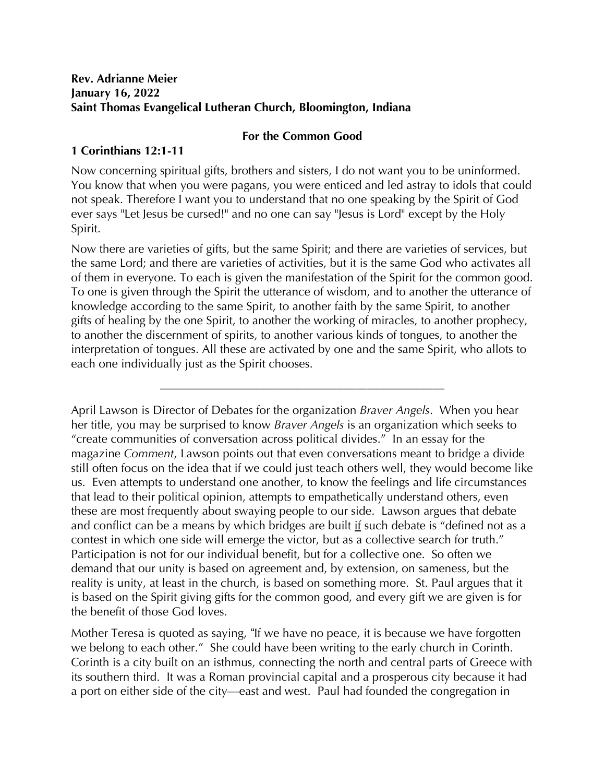## **Rev. Adrianne Meier January 16, 2022 Saint Thomas Evangelical Lutheran Church, Bloomington, Indiana**

## **For the Common Good**

## **1 Corinthians 12:1-11**

Now concerning spiritual gifts, brothers and sisters, I do not want you to be uninformed. You know that when you were pagans, you were enticed and led astray to idols that could not speak. Therefore I want you to understand that no one speaking by the Spirit of God ever says "Let Jesus be cursed!" and no one can say "Jesus is Lord" except by the Holy Spirit.

Now there are varieties of gifts, but the same Spirit; and there are varieties of services, but the same Lord; and there are varieties of activities, but it is the same God who activates all of them in everyone. To each is given the manifestation of the Spirit for the common good. To one is given through the Spirit the utterance of wisdom, and to another the utterance of knowledge according to the same Spirit, to another faith by the same Spirit, to another gifts of healing by the one Spirit, to another the working of miracles, to another prophecy, to another the discernment of spirits, to another various kinds of tongues, to another the interpretation of tongues. All these are activated by one and the same Spirit, who allots to each one individually just as the Spirit chooses.

\_\_\_\_\_\_\_\_\_\_\_\_\_\_\_\_\_\_\_\_\_\_\_\_\_\_\_\_\_\_\_\_\_\_\_\_\_\_\_\_\_\_\_\_\_\_\_\_

April Lawson is Director of Debates for the organization *Braver Angels*. When you hear her title, you may be surprised to know *Braver Angels* is an organization which seeks to "create communities of conversation across political divides." In an essay for the magazine *Comment*, Lawson points out that even conversations meant to bridge a divide still often focus on the idea that if we could just teach others well, they would become like us. Even attempts to understand one another, to know the feelings and life circumstances that lead to their political opinion, attempts to empathetically understand others, even these are most frequently about swaying people to our side. Lawson argues that debate and conflict can be a means by which bridges are built if such debate is "defined not as a contest in which one side will emerge the victor, but as a collective search for truth." Participation is not for our individual benefit, but for a collective one. So often we demand that our unity is based on agreement and, by extension, on sameness, but the reality is unity, at least in the church, is based on something more. St. Paul argues that it is based on the Spirit giving gifts for the common good, and every gift we are given is for the benefit of those God loves.

Mother Teresa is quoted as saying, "If we have no peace, it is because we have forgotten we belong to each other." She could have been writing to the early church in Corinth. Corinth is a city built on an isthmus, connecting the north and central parts of Greece with its southern third. It was a Roman provincial capital and a prosperous city because it had a port on either side of the city—east and west. Paul had founded the congregation in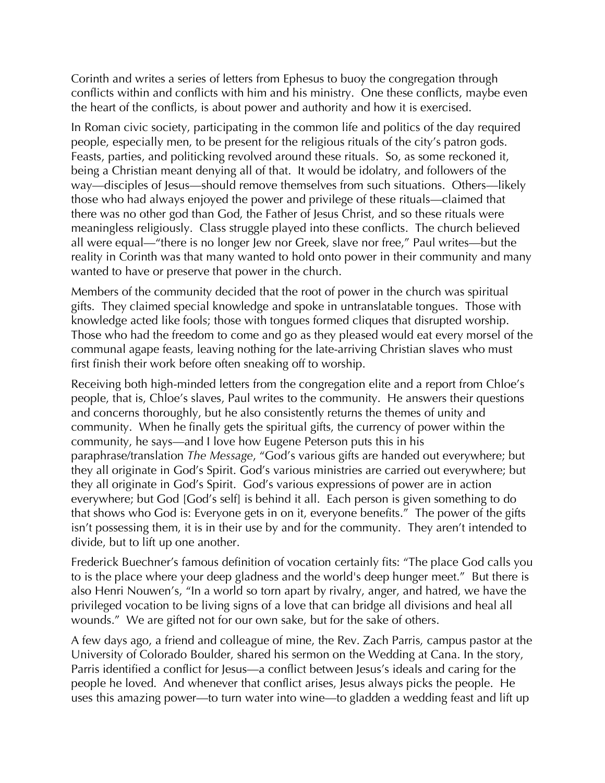Corinth and writes a series of letters from Ephesus to buoy the congregation through conflicts within and conflicts with him and his ministry. One these conflicts, maybe even the heart of the conflicts, is about power and authority and how it is exercised.

In Roman civic society, participating in the common life and politics of the day required people, especially men, to be present for the religious rituals of the city's patron gods. Feasts, parties, and politicking revolved around these rituals. So, as some reckoned it, being a Christian meant denying all of that. It would be idolatry, and followers of the way—disciples of Jesus—should remove themselves from such situations. Others—likely those who had always enjoyed the power and privilege of these rituals—claimed that there was no other god than God, the Father of Jesus Christ, and so these rituals were meaningless religiously. Class struggle played into these conflicts. The church believed all were equal—"there is no longer Jew nor Greek, slave nor free," Paul writes—but the reality in Corinth was that many wanted to hold onto power in their community and many wanted to have or preserve that power in the church.

Members of the community decided that the root of power in the church was spiritual gifts. They claimed special knowledge and spoke in untranslatable tongues. Those with knowledge acted like fools; those with tongues formed cliques that disrupted worship. Those who had the freedom to come and go as they pleased would eat every morsel of the communal agape feasts, leaving nothing for the late-arriving Christian slaves who must first finish their work before often sneaking off to worship.

Receiving both high-minded letters from the congregation elite and a report from Chloe's people, that is, Chloe's slaves, Paul writes to the community. He answers their questions and concerns thoroughly, but he also consistently returns the themes of unity and community. When he finally gets the spiritual gifts, the currency of power within the community, he says—and I love how Eugene Peterson puts this in his paraphrase/translation *The Message*, "God's various gifts are handed out everywhere; but they all originate in God's Spirit. God's various ministries are carried out everywhere; but they all originate in God's Spirit. God's various expressions of power are in action everywhere; but God [God's self] is behind it all. Each person is given something to do that shows who God is: Everyone gets in on it, everyone benefits." The power of the gifts isn't possessing them, it is in their use by and for the community. They aren't intended to divide, but to lift up one another.

Frederick Buechner's famous definition of vocation certainly fits: "The place God calls you to is the place where your deep gladness and the world's deep hunger meet." But there is also Henri Nouwen's, "In a world so torn apart by rivalry, anger, and hatred, we have the privileged vocation to be living signs of a love that can bridge all divisions and heal all wounds." We are gifted not for our own sake, but for the sake of others.

A few days ago, a friend and colleague of mine, the Rev. Zach Parris, campus pastor at the University of Colorado Boulder, shared his sermon on the Wedding at Cana. In the story, Parris identified a conflict for Jesus—a conflict between Jesus's ideals and caring for the people he loved. And whenever that conflict arises, Jesus always picks the people. He uses this amazing power—to turn water into wine—to gladden a wedding feast and lift up